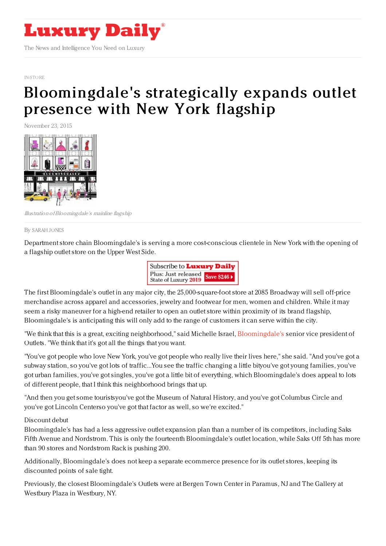

## [IN-STORE](https://www.luxurydaily.com/category/news/in-store/)

## [Bloomingdale's](https://www.luxurydaily.com/bloomingdales-strategically-expands-outlet-presence-with-new-york-flagship/) strategically expands outlet presence with New York flagship

November 23, 2015



Illustration ofBloomingdale's mainline flagship

By [SARAH](file:///author/sarah-jones) JONES

Department store chain Bloomingdale's is serving a more cost-conscious clientele in New York with the opening of a flagship outlet store on the Upper West Side.



The first Bloomingdale's outlet in any major city, the 25,000-square-foot store at 2085 Broadway will sell off-price merchandise across apparel and accessories, jewelry and footwear for men, women and children. While it may seem a risky maneuver for a high-end retailer to open an outlet store within proximity of its brand flagship, Bloomingdale's is anticipating this will only add to the range of customers it can serve within the city.

"We think that this is a great, exciting neighborhood," said Michelle Israel, [Bloomingdale's](http://bloomingdales.com) senior vice president of Outlets. "We think that it's got all the things that you want.

"You've got people who love New York, you've got people who really live their lives here," she said. "And you've got a subway station, so you've got lots of traffic...You see the traffic changing a little bityou've got young families, you've got urban families, you've got singles, you've got a little bit of everything, which Bloomingdale's does appeal to lots of different people, that I think this neighborhood brings that up.

"And then you get some touristsyou've got the Museum of Natural History, and you've got Columbus Circle and you've got Lincoln Centerso you've got that factor as well, so we're excited."

## Discount debut

Bloomingdale's has had a less aggressive outlet expansion plan than a number of its competitors, including Saks Fifth Avenue and Nordstrom. This is only the fourteenth Bloomingdale's outlet location, while Saks Off 5th has more than 90 stores and Nordstrom Rack is pushing 200.

Additionally, Bloomingdale's does not keep a separate ecommerce presence for its outlet stores, keeping its discounted points of sale tight.

Previously, the closest Bloomingdale's Outlets were at Bergen Town Center in Paramus, NJ and The Gallery at Westbury Plaza in Westbury, NY.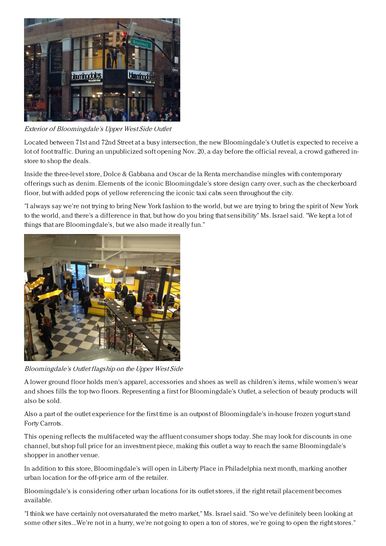

Exterior of Bloomingdale's Upper West Side Outlet

Located between 71st and 72nd Street at a busy intersection, the new Bloomingdale's Outlet is expected to receive a lot of foot traffic. During an unpublicized soft opening Nov. 20, a day before the official reveal, a crowd gathered instore to shop the deals.

Inside the three-level store, Dolce & Gabbana and Oscar de la Renta merchandise mingles with contemporary offerings such as denim. Elements of the iconic Bloomingdale's store design carry over, such as the checkerboard floor, but with added pops of yellow referencing the iconic taxi cabs seen throughout the city.

"I always say we're not trying to bring New York fashion to the world, but we are trying to bring the spirit of New York to the world, and there's a difference in that, but how do you bring that sensibility" Ms. Israel said. "We kept a lot of things that are Bloomingdale's, but we also made it really fun."



Bloomingdale's Outlet flagship on the Upper West Side

A lower ground floor holds men's apparel, accessories and shoes as well as children's items, while women's wear and shoes fills the top two floors. Representing a first for Bloomingdale's Outlet, a selection of beauty products will also be sold.

Also a part of the outlet experience for the first time is an outpost of Bloomingdale's in-house frozen yogurt stand Forty Carrots.

This opening reflects the multifaceted way the affluent consumer shops today. She may look for discounts in one channel, but shop full price for an investment piece, making this outlet a way to reach the same Bloomingdale's shopper in another venue.

In addition to this store, Bloomingdale's will open in Liberty Place in Philadelphia next month, marking another urban location for the off-price arm of the retailer.

Bloomingdale's is considering other urban locations for its outlet stores, if the right retail placement becomes available.

"I think we have certainly not oversaturated the metro market," Ms. Israel said. "So we've definitely been looking at some other sites...We're not in a hurry, we're not going to open a ton of stores, we're going to open the right stores."